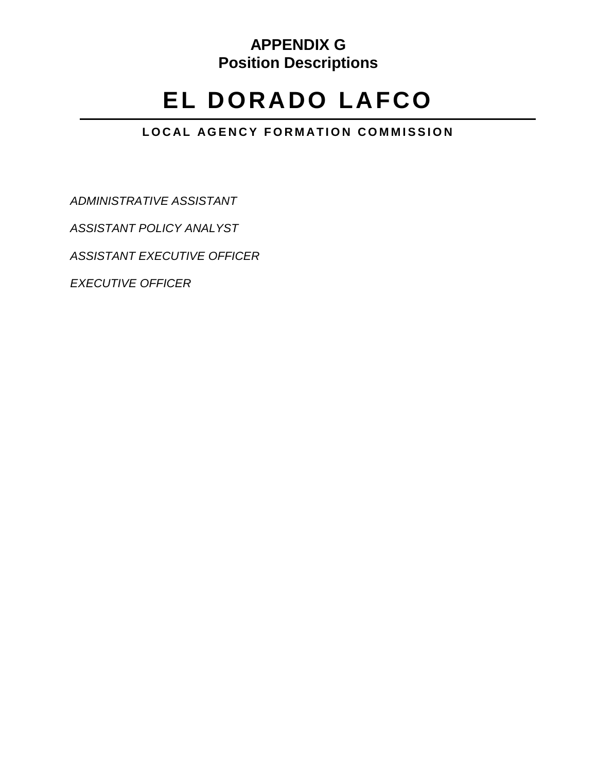# **APPENDIX G Position Descriptions**

# **EL DORADO LAFCO**

# **LOCAL AGENCY FORMATION COMMISSION**

*[ADMINISTRATIVE ASSISTANT](#page-1-0)*

*ASSISTANT POLICY ANALYST*

*ASSISTANT EXECUTIVE OFFICER*

*[EXECUTIVE OFFICER](#page-10-0)*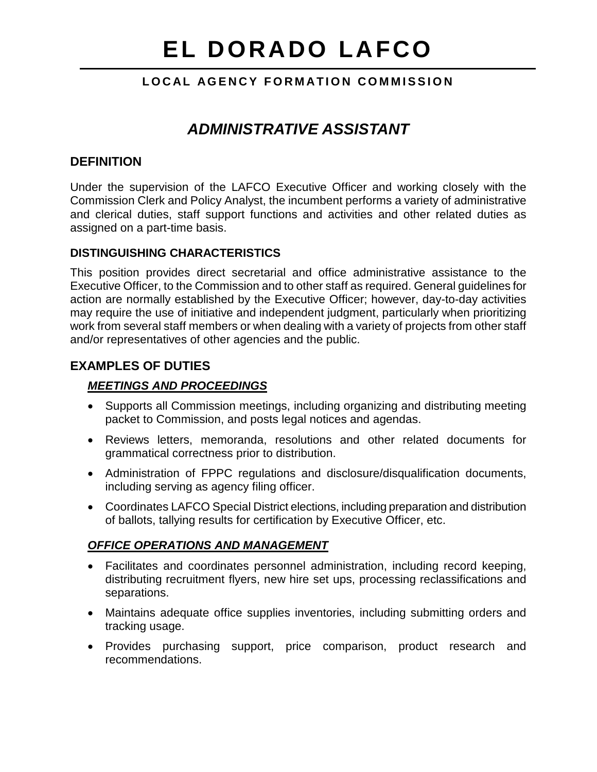## **LOCAL AGENCY FORMATION COMMISSION**

# *ADMINISTRATIVE ASSISTANT*

### <span id="page-1-0"></span>**DEFINITION**

Under the supervision of the LAFCO Executive Officer and working closely with the Commission Clerk and Policy Analyst, the incumbent performs a variety of administrative and clerical duties, staff support functions and activities and other related duties as assigned on a part-time basis.

#### **DISTINGUISHING CHARACTERISTICS**

This position provides direct secretarial and office administrative assistance to the Executive Officer, to the Commission and to other staff as required. General guidelines for action are normally established by the Executive Officer; however, day-to-day activities may require the use of initiative and independent judgment, particularly when prioritizing work from several staff members or when dealing with a variety of projects from other staff and/or representatives of other agencies and the public.

## **EXAMPLES OF DUTIES**

#### *MEETINGS AND PROCEEDINGS*

- Supports all Commission meetings, including organizing and distributing meeting packet to Commission, and posts legal notices and agendas.
- Reviews letters, memoranda, resolutions and other related documents for grammatical correctness prior to distribution.
- Administration of FPPC regulations and disclosure/disqualification documents, including serving as agency filing officer.
- Coordinates LAFCO Special District elections, including preparation and distribution of ballots, tallying results for certification by Executive Officer, etc.

#### *OFFICE OPERATIONS AND MANAGEMENT*

- Facilitates and coordinates personnel administration, including record keeping, distributing recruitment flyers, new hire set ups, processing reclassifications and separations.
- Maintains adequate office supplies inventories, including submitting orders and tracking usage.
- Provides purchasing support, price comparison, product research and recommendations.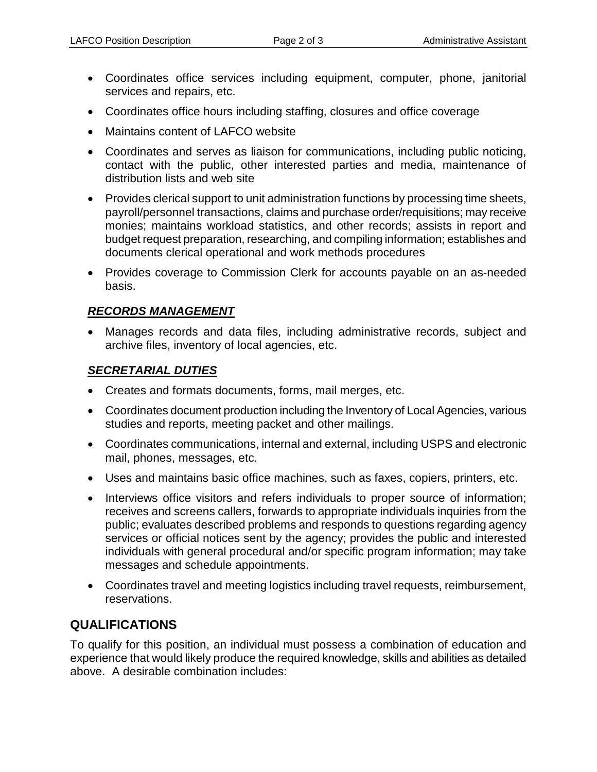- Coordinates office services including equipment, computer, phone, janitorial services and repairs, etc.
- Coordinates office hours including staffing, closures and office coverage
- Maintains content of LAFCO website
- Coordinates and serves as liaison for communications, including public noticing, contact with the public, other interested parties and media, maintenance of distribution lists and web site
- Provides clerical support to unit administration functions by processing time sheets, payroll/personnel transactions, claims and purchase order/requisitions; may receive monies; maintains workload statistics, and other records; assists in report and budget request preparation, researching, and compiling information; establishes and documents clerical operational and work methods procedures
- Provides coverage to Commission Clerk for accounts payable on an as-needed basis.

#### *RECORDS MANAGEMENT*

• Manages records and data files, including administrative records, subject and archive files, inventory of local agencies, etc.

#### *SECRETARIAL DUTIES*

- Creates and formats documents, forms, mail merges, etc.
- Coordinates document production including the Inventory of Local Agencies, various studies and reports, meeting packet and other mailings.
- Coordinates communications, internal and external, including USPS and electronic mail, phones, messages, etc.
- Uses and maintains basic office machines, such as faxes, copiers, printers, etc.
- Interviews office visitors and refers individuals to proper source of information; receives and screens callers, forwards to appropriate individuals inquiries from the public; evaluates described problems and responds to questions regarding agency services or official notices sent by the agency; provides the public and interested individuals with general procedural and/or specific program information; may take messages and schedule appointments.
- Coordinates travel and meeting logistics including travel requests, reimbursement, reservations.

# **QUALIFICATIONS**

To qualify for this position, an individual must possess a combination of education and experience that would likely produce the required knowledge, skills and abilities as detailed above. A desirable combination includes: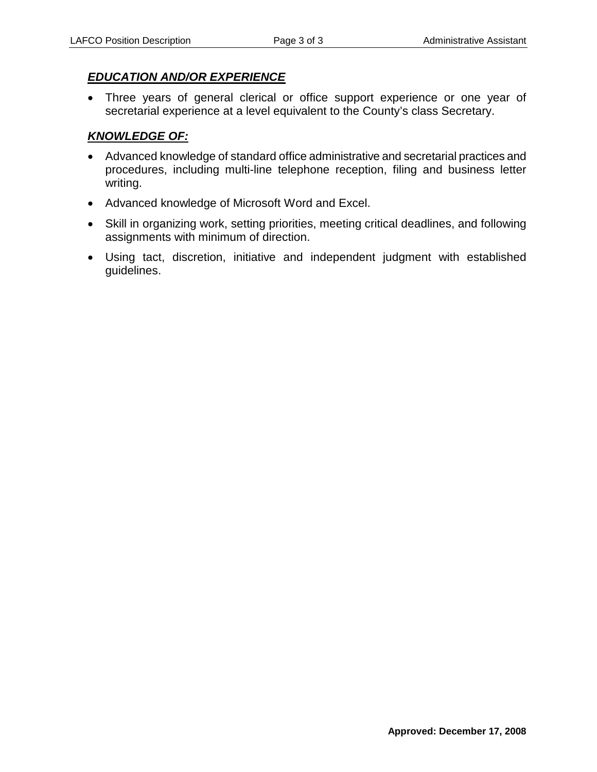### *EDUCATION AND/OR EXPERIENCE*

• Three years of general clerical or office support experience or one year of secretarial experience at a level equivalent to the County's class Secretary.

# *KNOWLEDGE OF:*

- Advanced knowledge of standard office administrative and secretarial practices and procedures, including multi-line telephone reception, filing and business letter writing.
- Advanced knowledge of Microsoft Word and Excel.
- Skill in organizing work, setting priorities, meeting critical deadlines, and following assignments with minimum of direction.
- Using tact, discretion, initiative and independent judgment with established guidelines.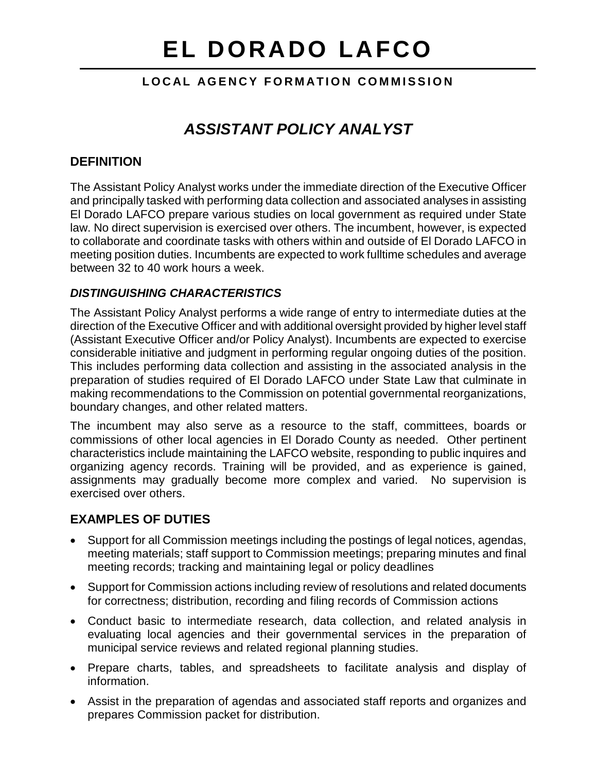# **LOCAL AGENCY FORMATION COMMISSION**

# *ASSISTANT POLICY ANALYST*

# **DEFINITION**

The Assistant Policy Analyst works under the immediate direction of the Executive Officer and principally tasked with performing data collection and associated analyses in assisting El Dorado LAFCO prepare various studies on local government as required under State law. No direct supervision is exercised over others. The incumbent, however, is expected to collaborate and coordinate tasks with others within and outside of El Dorado LAFCO in meeting position duties. Incumbents are expected to work fulltime schedules and average between 32 to 40 work hours a week.

#### *DISTINGUISHING CHARACTERISTICS*

The Assistant Policy Analyst performs a wide range of entry to intermediate duties at the direction of the Executive Officer and with additional oversight provided by higher level staff (Assistant Executive Officer and/or Policy Analyst). Incumbents are expected to exercise considerable initiative and judgment in performing regular ongoing duties of the position. This includes performing data collection and assisting in the associated analysis in the preparation of studies required of El Dorado LAFCO under State Law that culminate in making recommendations to the Commission on potential governmental reorganizations, boundary changes, and other related matters.

The incumbent may also serve as a resource to the staff, committees, boards or commissions of other local agencies in El Dorado County as needed. Other pertinent characteristics include maintaining the LAFCO website, responding to public inquires and organizing agency records. Training will be provided, and as experience is gained, assignments may gradually become more complex and varied. No supervision is exercised over others.

#### **EXAMPLES OF DUTIES**

- Support for all Commission meetings including the postings of legal notices, agendas, meeting materials; staff support to Commission meetings; preparing minutes and final meeting records; tracking and maintaining legal or policy deadlines
- Support for Commission actions including review of resolutions and related documents for correctness; distribution, recording and filing records of Commission actions
- Conduct basic to intermediate research, data collection, and related analysis in evaluating local agencies and their governmental services in the preparation of municipal service reviews and related regional planning studies.
- Prepare charts, tables, and spreadsheets to facilitate analysis and display of information.
- Assist in the preparation of agendas and associated staff reports and organizes and prepares Commission packet for distribution.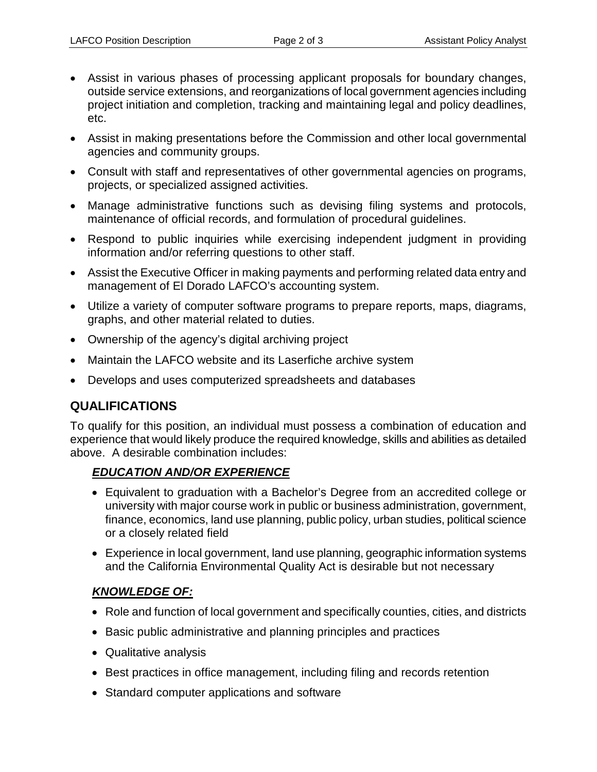- Assist in various phases of processing applicant proposals for boundary changes, outside service extensions, and reorganizations of local government agencies including project initiation and completion, tracking and maintaining legal and policy deadlines, etc.
- Assist in making presentations before the Commission and other local governmental agencies and community groups.
- Consult with staff and representatives of other governmental agencies on programs, projects, or specialized assigned activities.
- Manage administrative functions such as devising filing systems and protocols, maintenance of official records, and formulation of procedural guidelines.
- Respond to public inquiries while exercising independent judgment in providing information and/or referring questions to other staff.
- Assist the Executive Officer in making payments and performing related data entry and management of El Dorado LAFCO's accounting system.
- Utilize a variety of computer software programs to prepare reports, maps, diagrams, graphs, and other material related to duties.
- Ownership of the agency's digital archiving project
- Maintain the LAFCO website and its Laserfiche archive system
- Develops and uses computerized spreadsheets and databases

# **QUALIFICATIONS**

To qualify for this position, an individual must possess a combination of education and experience that would likely produce the required knowledge, skills and abilities as detailed above. A desirable combination includes:

#### *EDUCATION AND/OR EXPERIENCE*

- Equivalent to graduation with a Bachelor's Degree from an accredited college or university with major course work in public or business administration, government, finance, economics, land use planning, public policy, urban studies, political science or a closely related field
- Experience in local government, land use planning, geographic information systems and the California Environmental Quality Act is desirable but not necessary

#### *KNOWLEDGE OF:*

- Role and function of local government and specifically counties, cities, and districts
- Basic public administrative and planning principles and practices
- Qualitative analysis
- Best practices in office management, including filing and records retention
- Standard computer applications and software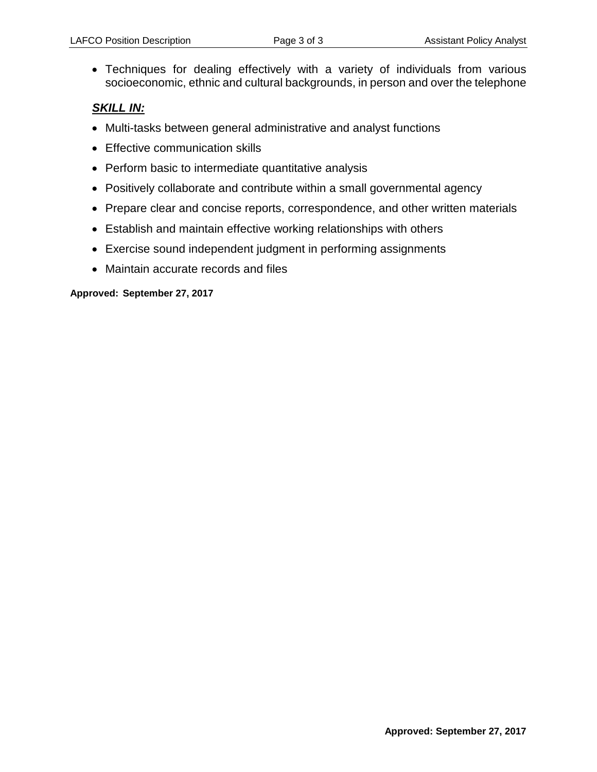• Techniques for dealing effectively with a variety of individuals from various socioeconomic, ethnic and cultural backgrounds, in person and over the telephone

#### *SKILL IN:*

- Multi-tasks between general administrative and analyst functions
- Effective communication skills
- Perform basic to intermediate quantitative analysis
- Positively collaborate and contribute within a small governmental agency
- Prepare clear and concise reports, correspondence, and other written materials
- Establish and maintain effective working relationships with others
- Exercise sound independent judgment in performing assignments
- Maintain accurate records and files

#### **Approved: September 27, 2017**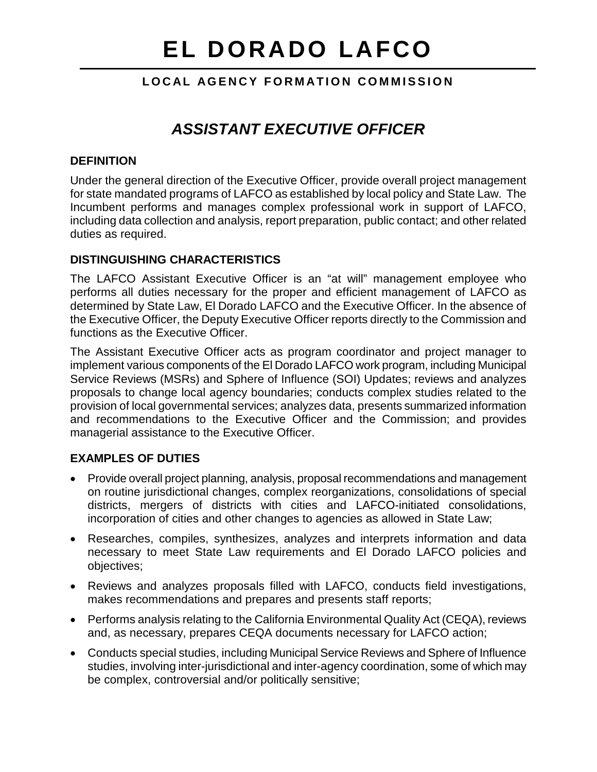## **LOCAL AGENCY FORMATION COMMISSION**

# *ASSISTANT EXECUTIVE OFFICER*

#### **DEFINITION**

Under the general direction of the Executive Officer, provide overall project management for state mandated programs of LAFCO as established by local policy and State Law. The Incumbent performs and manages complex professional work in support of LAFCO, including data collection and analysis, report preparation, public contact; and other related duties as required.

#### **DISTINGUISHING CHARACTERISTICS**

The LAFCO Assistant Executive Officer is an "at will" management employee who performs all duties necessary for the proper and efficient management of LAFCO as determined by State Law, El Dorado LAFCO and the Executive Officer. In the absence of the Executive Officer, the Deputy Executive Officer reports directly to the Commission and functions as the Executive Officer.

The Assistant Executive Officer acts as program coordinator and project manager to implement various components of the El Dorado LAFCO work program, including Municipal Service Reviews (MSRs) and Sphere of Influence (SOI) Updates; reviews and analyzes proposals to change local agency boundaries; conducts complex studies related to the provision of local governmental services; analyzes data, presents summarized information and recommendations to the Executive Officer and the Commission; and provides managerial assistance to the Executive Officer.

#### **EXAMPLES OF DUTIES**

- Provide overall project planning, analysis, proposal recommendations and management on routine jurisdictional changes, complex reorganizations, consolidations of special districts, mergers of districts with cities and LAFCO-initiated consolidations, incorporation of cities and other changes to agencies as allowed in State Law;
- Researches, compiles, synthesizes, analyzes and interprets information and data necessary to meet State Law requirements and El Dorado LAFCO policies and objectives;
- Reviews and analyzes proposals filled with LAFCO, conducts field investigations, makes recommendations and prepares and presents staff reports;
- Performs analysis relating to the California Environmental Quality Act (CEQA), reviews and, as necessary, prepares CEQA documents necessary for LAFCO action;
- Conducts special studies, including Municipal Service Reviews and Sphere of Influence studies, involving inter-jurisdictional and inter-agency coordination, some of which may be complex, controversial and/or politically sensitive;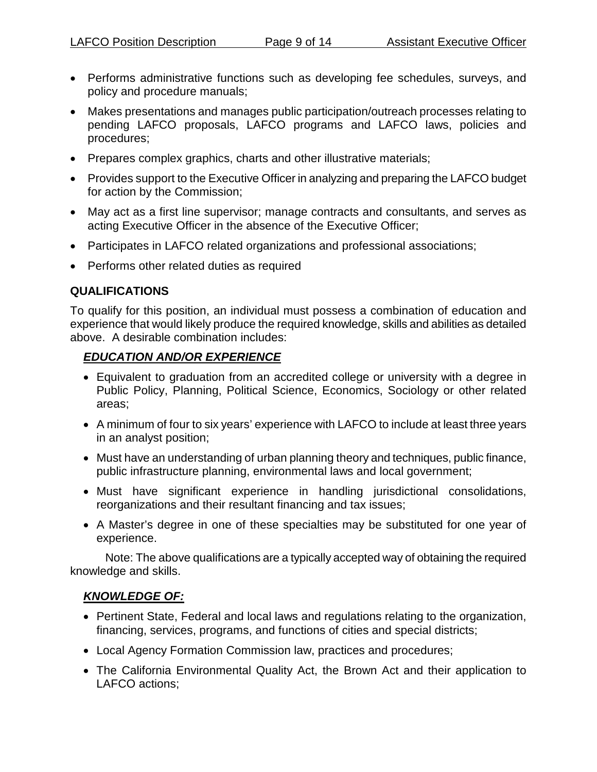- Performs administrative functions such as developing fee schedules, surveys, and policy and procedure manuals;
- Makes presentations and manages public participation/outreach processes relating to pending LAFCO proposals, LAFCO programs and LAFCO laws, policies and procedures;
- Prepares complex graphics, charts and other illustrative materials;
- Provides support to the Executive Officer in analyzing and preparing the LAFCO budget for action by the Commission;
- May act as a first line supervisor; manage contracts and consultants, and serves as acting Executive Officer in the absence of the Executive Officer;
- Participates in LAFCO related organizations and professional associations;
- Performs other related duties as required

#### **QUALIFICATIONS**

To qualify for this position, an individual must possess a combination of education and experience that would likely produce the required knowledge, skills and abilities as detailed above. A desirable combination includes:

#### *EDUCATION AND/OR EXPERIENCE*

- Equivalent to graduation from an accredited college or university with a degree in Public Policy, Planning, Political Science, Economics, Sociology or other related areas;
- A minimum of four to six years' experience with LAFCO to include at least three years in an analyst position;
- Must have an understanding of urban planning theory and techniques, public finance, public infrastructure planning, environmental laws and local government;
- Must have significant experience in handling jurisdictional consolidations, reorganizations and their resultant financing and tax issues;
- A Master's degree in one of these specialties may be substituted for one year of experience.

Note: The above qualifications are a typically accepted way of obtaining the required knowledge and skills.

#### *KNOWLEDGE OF:*

- Pertinent State, Federal and local laws and regulations relating to the organization, financing, services, programs, and functions of cities and special districts;
- Local Agency Formation Commission law, practices and procedures;
- The California Environmental Quality Act, the Brown Act and their application to LAFCO actions;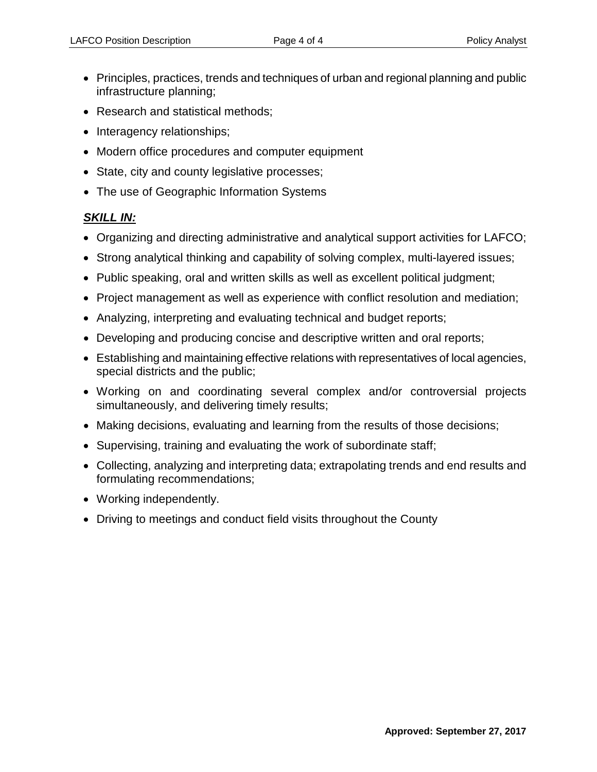- Principles, practices, trends and techniques of urban and regional planning and public infrastructure planning;
- Research and statistical methods;
- Interagency relationships;
- Modern office procedures and computer equipment
- State, city and county legislative processes;
- The use of Geographic Information Systems

## *SKILL IN:*

- Organizing and directing administrative and analytical support activities for LAFCO;
- Strong analytical thinking and capability of solving complex, multi-layered issues;
- Public speaking, oral and written skills as well as excellent political judgment;
- Project management as well as experience with conflict resolution and mediation;
- Analyzing, interpreting and evaluating technical and budget reports;
- Developing and producing concise and descriptive written and oral reports;
- Establishing and maintaining effective relations with representatives of local agencies, special districts and the public;
- Working on and coordinating several complex and/or controversial projects simultaneously, and delivering timely results;
- Making decisions, evaluating and learning from the results of those decisions;
- Supervising, training and evaluating the work of subordinate staff;
- Collecting, analyzing and interpreting data; extrapolating trends and end results and formulating recommendations;
- Working independently.
- Driving to meetings and conduct field visits throughout the County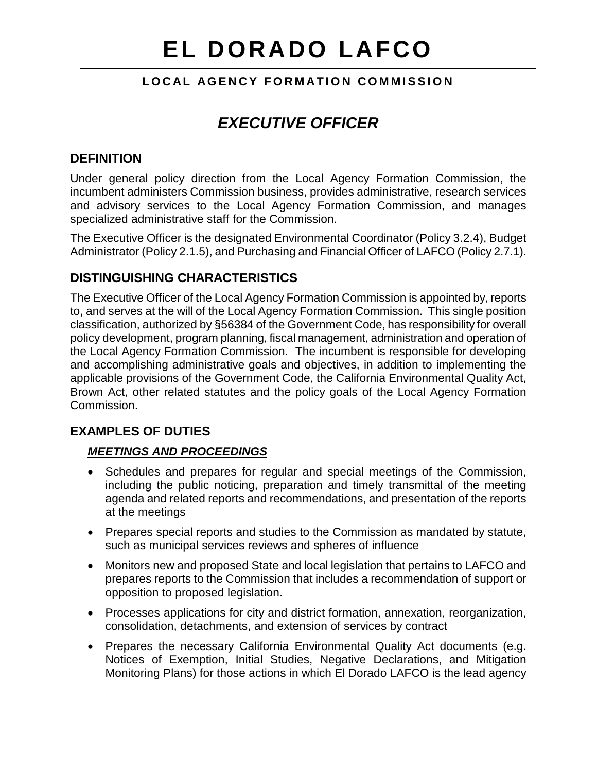## **LOCAL AGENCY FORMATION COMMISSION**

# <span id="page-10-0"></span>*EXECUTIVE OFFICER*

# **DEFINITION**

Under general policy direction from the Local Agency Formation Commission, the incumbent administers Commission business, provides administrative, research services and advisory services to the Local Agency Formation Commission, and manages specialized administrative staff for the Commission.

The Executive Officer is the designated Environmental Coordinator (Policy 3.2.4), Budget Administrator (Policy 2.1.5), and Purchasing and Financial Officer of LAFCO (Policy 2.7.1).

# **DISTINGUISHING CHARACTERISTICS**

The Executive Officer of the Local Agency Formation Commission is appointed by, reports to, and serves at the will of the Local Agency Formation Commission. This single position classification, authorized by §56384 of the Government Code, has responsibility for overall policy development, program planning, fiscal management, administration and operation of the Local Agency Formation Commission. The incumbent is responsible for developing and accomplishing administrative goals and objectives, in addition to implementing the applicable provisions of the Government Code, the California Environmental Quality Act, Brown Act, other related statutes and the policy goals of the Local Agency Formation Commission.

# **EXAMPLES OF DUTIES**

#### *MEETINGS AND PROCEEDINGS*

- Schedules and prepares for regular and special meetings of the Commission, including the public noticing, preparation and timely transmittal of the meeting agenda and related reports and recommendations, and presentation of the reports at the meetings
- Prepares special reports and studies to the Commission as mandated by statute, such as municipal services reviews and spheres of influence
- Monitors new and proposed State and local legislation that pertains to LAFCO and prepares reports to the Commission that includes a recommendation of support or opposition to proposed legislation.
- Processes applications for city and district formation, annexation, reorganization, consolidation, detachments, and extension of services by contract
- Prepares the necessary California Environmental Quality Act documents (e.g. Notices of Exemption, Initial Studies, Negative Declarations, and Mitigation Monitoring Plans) for those actions in which El Dorado LAFCO is the lead agency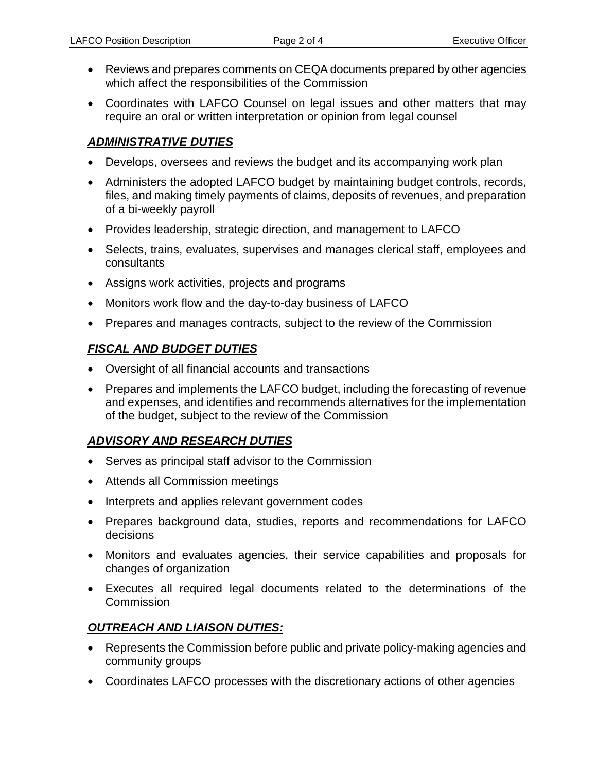- Reviews and prepares comments on CEQA documents prepared by other agencies which affect the responsibilities of the Commission
- Coordinates with LAFCO Counsel on legal issues and other matters that may require an oral or written interpretation or opinion from legal counsel

#### *ADMINISTRATIVE DUTIES*

- Develops, oversees and reviews the budget and its accompanying work plan
- Administers the adopted LAFCO budget by maintaining budget controls, records, files, and making timely payments of claims, deposits of revenues, and preparation of a bi-weekly payroll
- Provides leadership, strategic direction, and management to LAFCO
- Selects, trains, evaluates, supervises and manages clerical staff, employees and consultants
- Assigns work activities, projects and programs
- Monitors work flow and the day-to-day business of LAFCO
- Prepares and manages contracts, subject to the review of the Commission

## *FISCAL AND BUDGET DUTIES*

- Oversight of all financial accounts and transactions
- Prepares and implements the LAFCO budget, including the forecasting of revenue and expenses, and identifies and recommends alternatives for the implementation of the budget, subject to the review of the Commission

# *ADVISORY AND RESEARCH DUTIES*

- Serves as principal staff advisor to the Commission
- Attends all Commission meetings
- Interprets and applies relevant government codes
- Prepares background data, studies, reports and recommendations for LAFCO decisions
- Monitors and evaluates agencies, their service capabilities and proposals for changes of organization
- Executes all required legal documents related to the determinations of the **Commission**

#### *OUTREACH AND LIAISON DUTIES:*

- Represents the Commission before public and private policy-making agencies and community groups
- Coordinates LAFCO processes with the discretionary actions of other agencies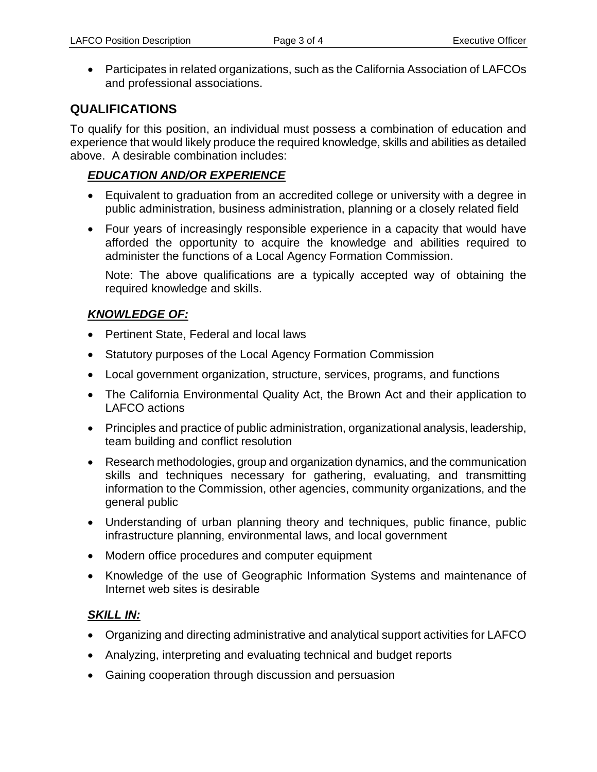• Participates in related organizations, such as the California Association of LAFCOs and professional associations.

# **QUALIFICATIONS**

To qualify for this position, an individual must possess a combination of education and experience that would likely produce the required knowledge, skills and abilities as detailed above. A desirable combination includes:

### *EDUCATION AND/OR EXPERIENCE*

- Equivalent to graduation from an accredited college or university with a degree in public administration, business administration, planning or a closely related field
- Four years of increasingly responsible experience in a capacity that would have afforded the opportunity to acquire the knowledge and abilities required to administer the functions of a Local Agency Formation Commission.

Note: The above qualifications are a typically accepted way of obtaining the required knowledge and skills.

# *KNOWLEDGE OF:*

- Pertinent State, Federal and local laws
- Statutory purposes of the Local Agency Formation Commission
- Local government organization, structure, services, programs, and functions
- The California Environmental Quality Act, the Brown Act and their application to LAFCO actions
- Principles and practice of public administration, organizational analysis, leadership, team building and conflict resolution
- Research methodologies, group and organization dynamics, and the communication skills and techniques necessary for gathering, evaluating, and transmitting information to the Commission, other agencies, community organizations, and the general public
- Understanding of urban planning theory and techniques, public finance, public infrastructure planning, environmental laws, and local government
- Modern office procedures and computer equipment
- Knowledge of the use of Geographic Information Systems and maintenance of Internet web sites is desirable

# *SKILL IN:*

- Organizing and directing administrative and analytical support activities for LAFCO
- Analyzing, interpreting and evaluating technical and budget reports
- Gaining cooperation through discussion and persuasion